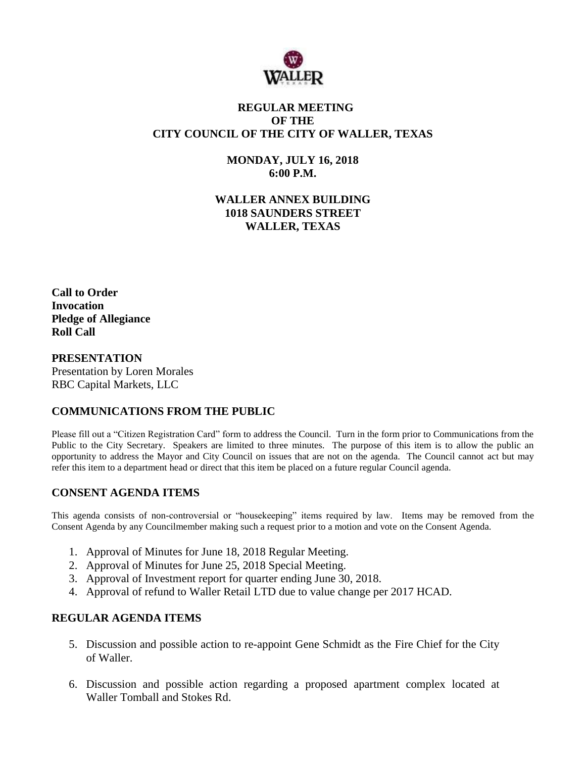

# **REGULAR MEETING OF THE CITY COUNCIL OF THE CITY OF WALLER, TEXAS**

**MONDAY, JULY 16, 2018 6:00 P.M.**

**WALLER ANNEX BUILDING 1018 SAUNDERS STREET WALLER, TEXAS**

**Call to Order Invocation Pledge of Allegiance Roll Call**

#### **PRESENTATION**

Presentation by Loren Morales RBC Capital Markets, LLC

## **COMMUNICATIONS FROM THE PUBLIC**

Please fill out a "Citizen Registration Card" form to address the Council. Turn in the form prior to Communications from the Public to the City Secretary. Speakers are limited to three minutes. The purpose of this item is to allow the public an opportunity to address the Mayor and City Council on issues that are not on the agenda. The Council cannot act but may refer this item to a department head or direct that this item be placed on a future regular Council agenda.

## **CONSENT AGENDA ITEMS**

This agenda consists of non-controversial or "housekeeping" items required by law. Items may be removed from the Consent Agenda by any Councilmember making such a request prior to a motion and vote on the Consent Agenda.

- 1. Approval of Minutes for June 18, 2018 Regular Meeting.
- 2. Approval of Minutes for June 25, 2018 Special Meeting.
- 3. Approval of Investment report for quarter ending June 30, 2018.
- 4. Approval of refund to Waller Retail LTD due to value change per 2017 HCAD.

## **REGULAR AGENDA ITEMS**

- 5. Discussion and possible action to re-appoint Gene Schmidt as the Fire Chief for the City of Waller.
- 6. Discussion and possible action regarding a proposed apartment complex located at Waller Tomball and Stokes Rd.